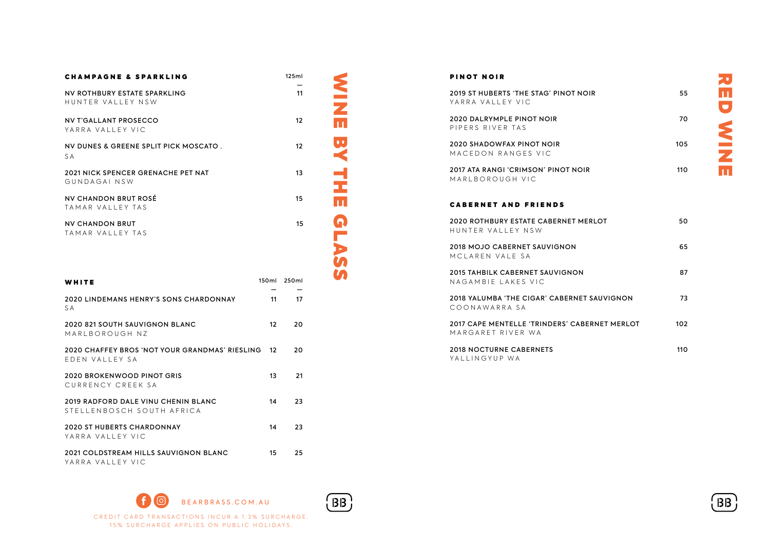| <b>CHAMPAGNE &amp; SPARKLING</b>                                 |       | 125ml |  |
|------------------------------------------------------------------|-------|-------|--|
| NV ROTHBURY ESTATE SPARKLING<br>HUNTER VALLEY NSW                |       | 11    |  |
| <b>NV T'GALLANT PROSECCO</b><br>YARRA VALLEY VIC                 |       | 12    |  |
| NV DUNES & GREENE SPLIT PICK MOSCATO.<br>S A                     |       | 12    |  |
| <b>2021 NICK SPENCER GRENACHE PET NAT</b><br>GUNDAGAI NSW        |       | 13    |  |
| NV CHANDON BRUT ROSÉ<br>TAMAR VALLEY TAS                         |       | 15    |  |
| <b>NV CHANDON BRUT</b><br>TAMAR VALLEY TAS                       |       | 15    |  |
|                                                                  |       |       |  |
| WHITE                                                            | 150ml | 250ml |  |
| <b>2020 LINDEMANS HENRY'S SONS CHARDONNAY</b><br>S A             | 11    | 17    |  |
| 2020 821 SOUTH SAUVIGNON BLANC<br>MARLBOROUGH NZ                 | 12    | 20    |  |
| 2020 CHAFFEY BROS 'NOT YOUR GRANDMAS' RIESLING<br>EDEN VALLEY SA | 12    | 20    |  |
| 2020 BROKENWOOD PINOT GRIS<br>CURRENCY CREEK SA                  | 13    | 21    |  |

# **NINE** WINE BY THE BY **BY THE** GLASS

 $(BB)$ 

#### PINOT NOIR

| 2019 ST HUBERTS 'THE STAG' PINOT NOIR<br>YARRA VALLEY VIC          | 55  |
|--------------------------------------------------------------------|-----|
| <b>2020 DALRYMPLE PINOT NOIR</b><br>PIPERS RIVER TAS               | 70  |
| <b>2020 SHADOWFAX PINOT NOIR</b><br>MACEDON RANGES VIC             | 105 |
| 2017 ATA RANGI 'CRIMSON' PINOT NOIR<br>MARI BOROUGH VIC            | 110 |
| <b>CABERNET AND FRIENDS</b>                                        |     |
| <b>2020 ROTHBURY ESTATE CABERNET MERLOT</b><br>HUNTER VALLEY NSW   | 50  |
| <b>2018 MOJO CABERNET SAUVIGNON</b><br>MCLAREN VALE SA             | 65  |
| 2015 TAHBILK CABERNET SAUVIGNON<br>NAGAMBIE I AKES VIC             | 87  |
| 2018 YALUMBA 'THE CIGAR' CABERNET SAUVIGNON<br>COONAWARRA SA       | 73  |
| 2017 CAPE MENTELLE 'TRINDERS' CABERNET MERLOT<br>MARGARET RIVER WA | 102 |
| <b>2018 NOCTURNE CABERNETS</b><br>YALLINGYUP WA                    | 110 |

(ဝ BEARBRASS.COM.AU CREDIT CARD TRANSACTIONS INCUR A 1.3% SURCHARGE. 15% SURCHARGE APPLIES ON PUBLIC HOLIDAYS.

2019 RADFORD DALE VINU CHENIN BLANC 14 23

2020 ST HUBERTS CHARDONNAY 14 23

2021 COLDSTREAM HILLS SAUVIGNON BLANC 15 25

STELLENBOSCH SOUTH AFRICA

YARRA VALLEY VIC

YARRA VALLEY VIC

**BB**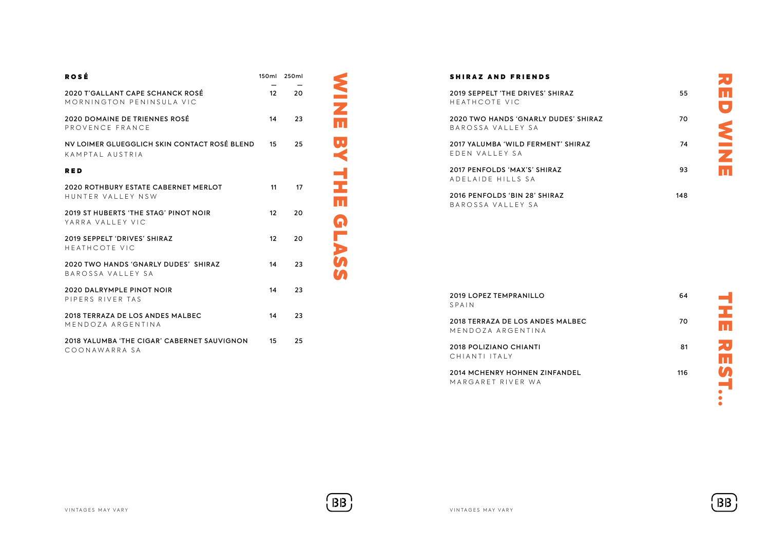| <b>ROSÉ</b>                                                     |                   | 150ml 250ml |                         | <b>SHIRAZ AND I</b>              |
|-----------------------------------------------------------------|-------------------|-------------|-------------------------|----------------------------------|
| 2020 T'GALLANT CAPE SCHANCK ROSÉ<br>MORNINGTON PENINSULA VIC    | 12 <sup>2</sup>   | 20          |                         | 2019 SEPPELT 'TH<br>HEATHCOTE VI |
| 2020 DOMAINE DE TRIENNES ROSÉ<br>PROVENCE FRANCE                | 14                | 23          | $\overline{\mathbf{u}}$ | 2020 TWO HANDS<br>BAROSSA VALL   |
| NV LOIMER GLUEGGLICH SKIN CONTACT ROSÉ BLEND<br>KAMPTAL AUSTRIA | 15                | 25          | $\pmb{\Phi}$            | 2017 YALUMBA 'W<br>EDEN VALLEY   |
| <b>RED</b>                                                      |                   |             |                         | 2017 PENFOLDS 'f                 |
| 2020 ROTHBURY ESTATE CABERNET MERLOT<br>HUNTER VALLEY NSW       | 11                | 17          |                         | ADELAIDE HIL<br>2016 PENFOLDS 'I |
| 2019 ST HUBERTS 'THE STAG' PINOT NOIR<br>YARRA VALLEY VIC       | $12 \overline{ }$ | 20          |                         | BAROSSA VALL                     |
| 2019 SEPPELT 'DRIVES' SHIRAZ<br>HEATHCOTE VIC                   | $12 \overline{ }$ | 20          | <b>GLAS</b>             |                                  |
| 2020 TWO HANDS 'GNARLY DUDES' SHIRAZ<br>BAROSSA VALLEY SA       | 14                | 23          |                         |                                  |
| 2020 DALRYMPLE PINOT NOIR<br>PIPERS RIVER TAS                   | 14                | 23          |                         | 2019 LOPEZ TEMP<br>SPAIN         |
| 2018 TERRAZA DE LOS ANDES MALBEC<br>MENDOZA ARGENTINA           | 14                | 23          |                         | 2018 TERRAZA DE<br>MENDOZA ARG   |
| 2018 YALUMBA 'THE CIGAR' CABERNET SAUVIGNON<br>COONAWARRA SA    | 15                | 25          |                         | 2018 POLIZIANO<br>CHIANTI ITALY  |
|                                                                 |                   |             |                         | 2014 MCHENRY H<br>MARGARET RIV   |
|                                                                 |                   |             |                         |                                  |
|                                                                 |                   |             |                         |                                  |
|                                                                 |                   |             |                         |                                  |
|                                                                 |                   |             |                         |                                  |
| VINTAGES MAY VARY                                               |                   |             | BB                      | VINTAGES MAY VARY                |

## SHIRAZ AND FRIENDS

| 2019 SEPPELT 'THE DRIVES' SHIRAZ<br>HEATHCOTE VIC                | 55  |
|------------------------------------------------------------------|-----|
| <b>2020 TWO HANDS 'GNARLY DUDES' SHIRAZ</b><br>BAROSSA VALLEY SA | 70. |
| 2017 YALUMBA 'WILD FFRMENT' SHIRAZ<br>FDFN VALLEY SA             | 74  |
| 2017 PENFOLDS 'MAX'S' SHIRAZ<br>ADFIAIDE HILLS SA                | 93  |
| 2016 PENFOLDS 'BIN 28' SHIRAZ<br>BAROSSA VALLEY SA               | 148 |

| <b>2019 LOPEZ TEMPRANILLO</b><br>SPAIN                    | 64  |  |
|-----------------------------------------------------------|-----|--|
| 2018 TERRAZA DE LOS ANDES MALBEC<br>MENDOZA ARGENTINA     | 70  |  |
| <b>2018 POLIZIANO CHIANTI</b><br>CHIANTI ITALY            | 81  |  |
| <b>2014 MCHENRY HOHNEN ZINFANDEL</b><br>MARGARET RIVER WA | 116 |  |

RED WINE

**D WINK** 

刀冊



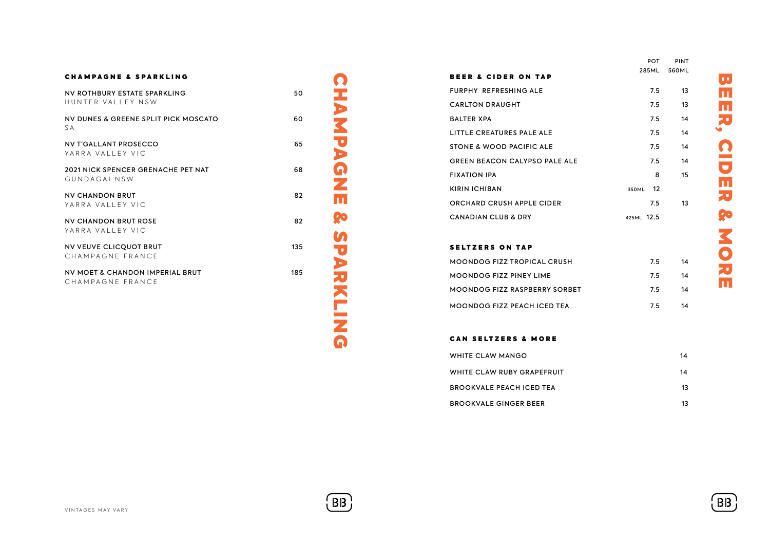| <b>CHAMPAGNE &amp; SPARKLING</b>                          |     |
|-----------------------------------------------------------|-----|
| NV ROTHBURY ESTATE SPARKLING<br>HUNTER VALLEY NSW         | 50  |
| NV DUNES & GREENE SPLIT PICK MOSCATO<br>S A               | 60  |
| <b>NV T'GALLANT PROSECCO</b><br>YARRA VAIIFY VIC          | 65  |
| <b>2021 NICK SPENCER GRENACHE PET NAT</b><br>GUNDAGAL NSW | 68  |
| NV CHANDON BRUT<br>YARRA VAILEY VIC                       | 82  |
| NV CHANDON BRUT ROSE<br>YARRA VALLEY VIC                  | 82  |
| NV VEUVE CLICQUOT BRUT<br>CHAMPAGNE FRANCE                | 135 |
| NV MOFT & CHANDON IMPERIAL BRUT<br>CHAMPAGNE FRANCE       | 185 |
|                                                           |     |

**CHAMPAGNE** CHAMPAGNE & SPARKLING **Po SPARKLING** 

 $(BB)$ 

|                                      | <b>POT</b>  | PINT  |
|--------------------------------------|-------------|-------|
| <b>BEER &amp; CIDER ON TAP</b>       | 285ML       | 560ML |
| <b>FURPHY REFRESHING ALF</b>         | 7.5         | 13    |
| <b>CARLTON DRAUGHT</b>               | 7.5         | 13    |
| <b>BALTER XPA</b>                    | 7.5         | 14    |
| LITTLE CREATURES PALE ALE            | 7.5         | 14    |
| STONE & WOOD PACIFIC ALE             | 7.5         | 14    |
| <b>GREEN BEACON CALYPSO PALE ALE</b> | 7.5         | 14    |
| <b>FIXATION IPA</b>                  | 8           | 15    |
| <b>KIRIN ICHIBAN</b>                 | 12<br>350ML |       |
| ORCHARD CRUSH APPLE CIDER            | 7.5         | 13    |
| <b>CANADIAN CLUB &amp; DRY</b>       | 425ML 12.5  |       |
|                                      |             |       |

## SELTZERS ON TAP

| <b>MOONDOG FIZZ TROPICAL CRUSH</b>   | 7.5 | 14 |
|--------------------------------------|-----|----|
| <b>MOONDOG FIZZ PINEY LIME</b>       | 75  | 14 |
| <b>MOONDOG FIZZ RASPBERRY SORBET</b> | 75  | 14 |
| <b>MOONDOG FIZZ PEACH ICED TEA</b>   | 75. | 14 |

## CAN SELTZERS & MORE

| WHITE CLAW MANGO                | 14 |
|---------------------------------|----|
| WHITE CLAW RUBY GRAPEFRUIT      | 14 |
| <b>BROOKVALE PEACH ICED TEA</b> | 13 |
| <b>BROOKVALE GINGER BEER</b>    | 13 |

PINT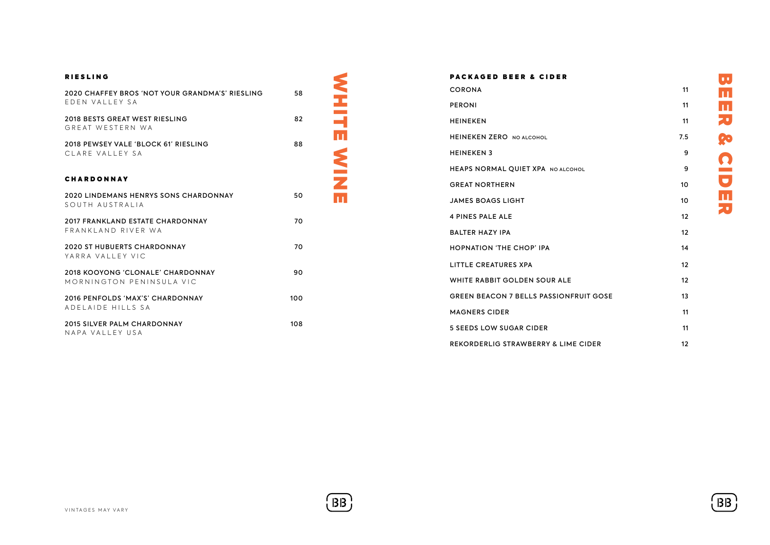| <b>RIESLING</b>                                                 |     | <b>PACKAGED BEER &amp; CIDER</b>               |                   |
|-----------------------------------------------------------------|-----|------------------------------------------------|-------------------|
| 2020 CHAFFEY BROS 'NOT YOUR GRANDMA'S' RIESLING                 | 58  | <b>CORONA</b>                                  | 11                |
| EDEN VALLEY SA                                                  |     | <b>PERONI</b>                                  | 11                |
| 2018 BESTS GREAT WEST RIESLING<br>GREAT WESTERN WA              | 82  | HEINEKEN                                       | 11                |
| 2018 PEWSEY VALE 'BLOCK 61' RIESLING                            | 88  | m<br><b>HEINEKEN ZERO NO ALCOHOL</b>           | 7.5               |
| CLARE VALLEY SA                                                 |     | <b>HEINEKEN3</b>                               | 9                 |
|                                                                 |     | <b>HEAPS NORMAL QUIET XPA NO ALCOHOL</b>       | 9                 |
| <b>CHARDONNAY</b>                                               |     | <b>GREAT NORTHERN</b>                          | 10                |
| <b>2020 LINDEMANS HENRYS SONS CHARDONNAY</b><br>SOUTH AUSTRALIA | 50  | $\mathbf{u}$<br><b>JAMES BOAGS LIGHT</b>       | 10                |
| <b>2017 FRANKLAND ESTATE CHARDONNAY</b>                         | 70  | <b>4 PINES PALE ALE</b>                        | 12                |
| FRANKLAND RIVER WA                                              |     | <b>BALTER HAZY IPA</b>                         | 12                |
| <b>2020 ST HUBUERTS CHARDONNAY</b><br>YARRA VALLEY VIC          | 70  | <b>HOPNATION 'THE CHOP' IPA</b>                | 14                |
| 2018 KOOYONG 'CLONALE' CHARDONNAY                               | 90  | <b>LITTLE CREATURES XPA</b>                    | 12                |
| MORNINGTON PENINSULA VIC                                        |     | WHITE RABBIT GOLDEN SOUR ALE                   | 12                |
| 2016 PENFOLDS 'MAX'S' CHARDONNAY                                | 100 | <b>GREEN BEACON 7 BELLS PASSIONFRUIT GOSE</b>  | 13                |
| ADELAIDE HILLS SA                                               |     | <b>MAGNERS CIDER</b>                           | 11                |
| 2015 SILVER PALM CHARDONNAY<br>NAPA VALLEY USA                  | 108 | <b>5 SEEDS LOW SUGAR CIDER</b>                 | 11                |
|                                                                 |     | <b>REKORDERLIG STRAWBERRY &amp; LIME CIDER</b> | $12 \overline{ }$ |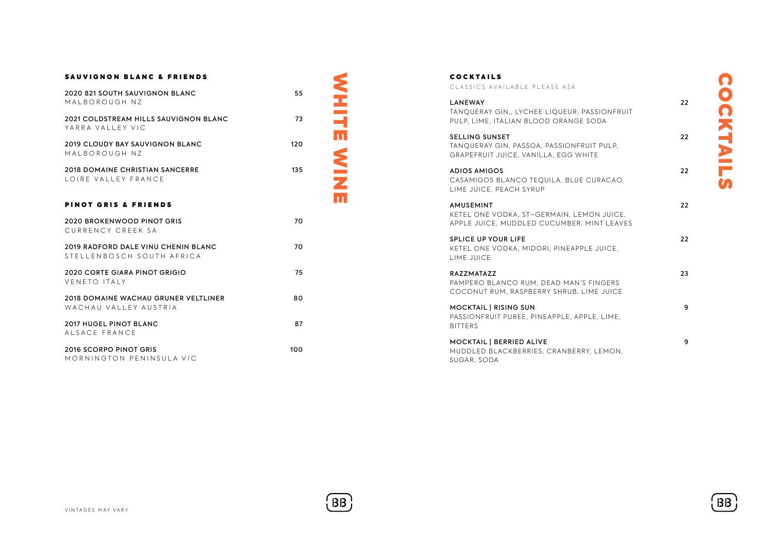## SAUVIGNON BLANC & FRIENDS

| 2020 821 SOUTH SAUVIGNON BLANC<br>MALBOROUGH NZ                  | 55  |  |
|------------------------------------------------------------------|-----|--|
| <b>2021 COLDSTREAM HILLS SAUVIGNON BLANC</b><br>YARRA VALLEY VIC | 73  |  |
| <b>2019 CLOUDY BAY SAUVIGNON BLANC</b><br>MALBOROUGH NZ          | 120 |  |
| <b>2018 DOMAINE CHRISTIAN SANCERRE</b><br>LOIRE VALLEY FRANCE    | 135 |  |
| <b>PINOT GRIS &amp; FRIENDS</b>                                  |     |  |
| 2020 BROKENWOOD PINOT GRIS<br>CURRENCY CREEK SA                  | 70  |  |
| 2019 RADFORD DALF VINU CHENIN BLANC<br>STELLENBOSCH SOUTH AFRICA | 70  |  |
| <b>2020 CORTE GIARA PINOT GRIGIO</b><br>VENETO ITALY             | 75  |  |
| 2018 DOMAINE WACHAU GRUNER VELTLINER<br>WACHAU VALLEY AUSTRIA    | 80  |  |
| 2017 HUGEL PINOT BLANC<br>ALSACE FRANCE                          | 87  |  |
| 2016 SCORPO PINOT GRIS<br>MORNINGTON PENINSULA VIC               | 100 |  |

## **COCKTAILS**

CLASSICS AVAILABLE PLEASE ASK

| <b>LANEWAY</b><br>TANOUERAY GIN., LYCHEE LIOUEUR, PASSIONFRUIT<br>PULP, LIME, ITALIAN BLOOD ORANGE SODA     | 22 |
|-------------------------------------------------------------------------------------------------------------|----|
| <b>SELLING SUNSET</b><br>TANOUERAY GIN, PASSOA, PASSIONFRUIT PULP.<br>GRAPEFRUIT JUICE, VANILLA, EGG WHITE  | 22 |
| <b>ADIOS AMIGOS</b><br>CASAMIGOS BLANCO TEQUILA, BLUE CURACAO.<br>LIME JUICE, PEACH SYRUP                   | 22 |
| <b>AMUSEMINT</b><br>KETEL ONE VODKA, ST~GERMAIN, LEMON JUICE,<br>APPLE JUICE, MUDDLED CUCUMBER, MINT LEAVES | 22 |
| <b>SPLICE UP YOUR LIFE</b><br>KETEL ONE VODKA, MIDORI, PINEAPPLE JUICE.<br>LIME JUICE                       | 22 |
| <b>RAZZMATAZZ</b><br>PAMPERO BLANCO RUM. DEAD MAN'S FINGERS<br>COCONUT RUM, RASPBERRY SHRUB, LIME JUICE     | 23 |
| <b>MOCKTAIL   RISING SUN</b><br>PASSIONFRUIT PUREE, PINEAPPLE, APPLE, LIME.<br><b>BITTERS</b>               | 9  |
| <b>MOCKTAIL   BERRIED ALIVE</b><br>MUDDLED BLACKBERRIES, CRANBERRY, LEMON,<br>SUGAR, SODA                   | 9  |

COCKTAILS COCKTAILS



WHITE WINE

**NHITE WINE**